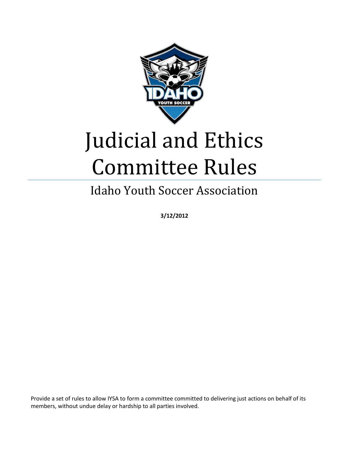

# Judicial and Ethics Committee Rules

# Idaho Youth Soccer Association

**3/12/2012**

Provide a set of rules to allow IYSA to form a committee committed to delivering just actions on behalf of its members, without undue delay or hardship to all parties involved.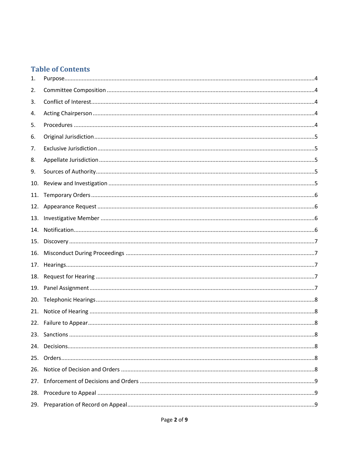# **Table of Contents**

| 1.  |  |
|-----|--|
| 2.  |  |
| 3.  |  |
| 4.  |  |
| 5.  |  |
| 6.  |  |
| 7.  |  |
| 8.  |  |
| 9.  |  |
| 10. |  |
| 11. |  |
| 12. |  |
| 13. |  |
| 14. |  |
| 15. |  |
| 16. |  |
| 17. |  |
| 18. |  |
| 19. |  |
| 20. |  |
| 21. |  |
|     |  |
|     |  |
| 24. |  |
| 25. |  |
| 26. |  |
| 27. |  |
| 28. |  |
| 29. |  |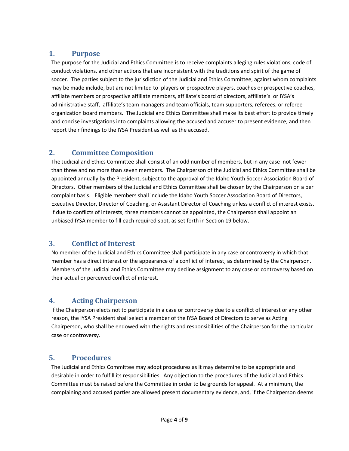#### <span id="page-3-0"></span>**1. Purpose**

The purpose for the Judicial and Ethics Committee is to receive complaints alleging rules violations, code of conduct violations, and other actions that are inconsistent with the traditions and spirit of the game of soccer. The parties subject to the jurisdiction of the Judicial and Ethics Committee, against whom complaints may be made include, but are not limited to players or prospective players, coaches or prospective coaches, affiliate members or prospective affiliate members, affiliate's board of directors, affiliate's or IYSA's administrative staff, affiliate's team managers and team officials, team supporters, referees, or referee organization board members. The Judicial and Ethics Committee shall make its best effort to provide timely and concise investigations into complaints allowing the accused and accuser to present evidence, and then report their findings to the IYSA President as well as the accused.

# <span id="page-3-1"></span>**2. Committee Composition**

The Judicial and Ethics Committee shall consist of an odd number of members, but in any case not fewer than three and no more than seven members. The Chairperson of the Judicial and Ethics Committee shall be appointed annually by the President, subject to the approval of the Idaho Youth Soccer Association Board of Directors. Other members of the Judicial and Ethics Committee shall be chosen by the Chairperson on a per complaint basis. Eligible members shall include the Idaho Youth Soccer Association Board of Directors, Executive Director, Director of Coaching, or Assistant Director of Coaching unless a conflict of interest exists. If due to conflicts of interests, three members cannot be appointed, the Chairperson shall appoint an unbiased IYSA member to fill each required spot, as set forth in Section 19 below.

# <span id="page-3-2"></span>**3. Conflict of Interest**

No member of the Judicial and Ethics Committee shall participate in any case or controversy in which that member has a direct interest or the appearance of a conflict of interest, as determined by the Chairperson. Members of the Judicial and Ethics Committee may decline assignment to any case or controversy based on their actual or perceived conflict of interest.

#### <span id="page-3-3"></span>**4. Acting Chairperson**

If the Chairperson elects not to participate in a case or controversy due to a conflict of interest or any other reason, the IYSA President shall select a member of the IYSA Board of Directors to serve as Acting Chairperson, who shall be endowed with the rights and responsibilities of the Chairperson for the particular case or controversy.

#### <span id="page-3-4"></span>**5. Procedures**

The Judicial and Ethics Committee may adopt procedures as it may determine to be appropriate and desirable in order to fulfill its responsibilities. Any objection to the procedures of the Judicial and Ethics Committee must be raised before the Committee in order to be grounds for appeal. At a minimum, the complaining and accused parties are allowed present documentary evidence, and, if the Chairperson deems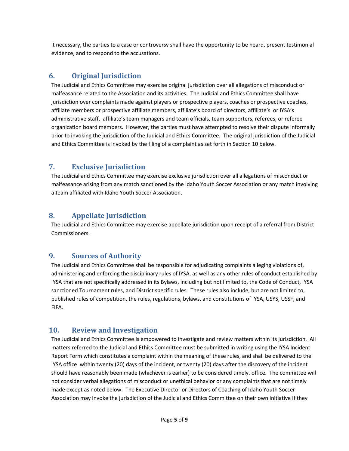it necessary, the parties to a case or controversy shall have the opportunity to be heard, present testimonial evidence, and to respond to the accusations.

# <span id="page-4-0"></span>**6. Original Jurisdiction**

The Judicial and Ethics Committee may exercise original jurisdiction over all allegations of misconduct or malfeasance related to the Association and its activities. The Judicial and Ethics Committee shall have jurisdiction over complaints made against players or prospective players, coaches or prospective coaches, affiliate members or prospective affiliate members, affiliate's board of directors, affiliate's or IYSA's administrative staff, affiliate's team managers and team officials, team supporters, referees, or referee organization board members. However, the parties must have attempted to resolve their dispute informally prior to invoking the jurisdiction of the Judicial and Ethics Committee. The original jurisdiction of the Judicial and Ethics Committee is invoked by the filing of a complaint as set forth in Section 10 below.

# <span id="page-4-1"></span>**7. Exclusive Jurisdiction**

The Judicial and Ethics Committee may exercise exclusive jurisdiction over all allegations of misconduct or malfeasance arising from any match sanctioned by the Idaho Youth Soccer Association or any match involving a team affiliated with Idaho Youth Soccer Association.

# <span id="page-4-2"></span>**8. Appellate Jurisdiction**

The Judicial and Ethics Committee may exercise appellate jurisdiction upon receipt of a referral from District Commissioners.

# <span id="page-4-3"></span>**9. Sources of Authority**

The Judicial and Ethics Committee shall be responsible for adjudicating complaints alleging violations of, administering and enforcing the disciplinary rules of IYSA, as well as any other rules of conduct established by IYSA that are not specifically addressed in its Bylaws, including but not limited to, the Code of Conduct, IYSA sanctioned Tournament rules, and District specific rules. These rules also include, but are not limited to, published rules of competition, the rules, regulations, bylaws, and constitutions of IYSA, USYS, USSF, and FIFA.

# <span id="page-4-4"></span>**10. Review and Investigation**

The Judicial and Ethics Committee is empowered to investigate and review matters within its jurisdiction. All matters referred to the Judicial and Ethics Committee must be submitted in writing using the IYSA Incident Report Form which constitutes a complaint within the meaning of these rules, and shall be delivered to the IYSA office within twenty (20) days of the incident, or twenty (20) days after the discovery of the incident should have reasonably been made (whichever is earlier) to be considered timely. office. The committee will not consider verbal allegations of misconduct or unethical behavior or any complaints that are not timely made except as noted below. The Executive Director or Directors of Coaching of Idaho Youth Soccer Association may invoke the jurisdiction of the Judicial and Ethics Committee on their own initiative if they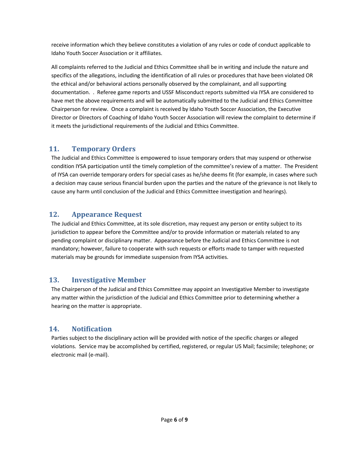receive information which they believe constitutes a violation of any rules or code of conduct applicable to Idaho Youth Soccer Association or it affiliates.

All complaints referred to the Judicial and Ethics Committee shall be in writing and include the nature and specifics of the allegations, including the identification of all rules or procedures that have been violated OR the ethical and/or behavioral actions personally observed by the complainant, and all supporting documentation. . Referee game reports and USSF Misconduct reports submitted via IYSA are considered to have met the above requirements and will be automatically submitted to the Judicial and Ethics Committee Chairperson for review. Once a complaint is received by Idaho Youth Soccer Association, the Executive Director or Directors of Coaching of Idaho Youth Soccer Association will review the complaint to determine if it meets the jurisdictional requirements of the Judicial and Ethics Committee.

# <span id="page-5-0"></span>**11. Temporary Orders**

The Judicial and Ethics Committee is empowered to issue temporary orders that may suspend or otherwise condition IYSA participation until the timely completion of the committee's review of a matter. The President of IYSA can override temporary orders for special cases as he/she deems fit (for example, in cases where such a decision may cause serious financial burden upon the parties and the nature of the grievance is not likely to cause any harm until conclusion of the Judicial and Ethics Committee investigation and hearings).

# <span id="page-5-1"></span>**12. Appearance Request**

The Judicial and Ethics Committee, at its sole discretion, may request any person or entity subject to its jurisdiction to appear before the Committee and/or to provide information or materials related to any pending complaint or disciplinary matter. Appearance before the Judicial and Ethics Committee is not mandatory; however, failure to cooperate with such requests or efforts made to tamper with requested materials may be grounds for immediate suspension from IYSA activities.

# <span id="page-5-2"></span>**13. Investigative Member**

The Chairperson of the Judicial and Ethics Committee may appoint an Investigative Member to investigate any matter within the jurisdiction of the Judicial and Ethics Committee prior to determining whether a hearing on the matter is appropriate.

# <span id="page-5-3"></span>**14. Notification**

Parties subject to the disciplinary action will be provided with notice of the specific charges or alleged violations. Service may be accomplished by certified, registered, or regular US Mail; facsimile; telephone; or electronic mail (e-mail).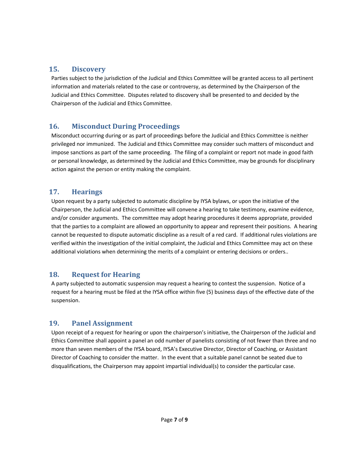#### <span id="page-6-0"></span>**15. Discovery**

Parties subject to the jurisdiction of the Judicial and Ethics Committee will be granted access to all pertinent information and materials related to the case or controversy, as determined by the Chairperson of the Judicial and Ethics Committee. Disputes related to discovery shall be presented to and decided by the Chairperson of the Judicial and Ethics Committee.

# <span id="page-6-1"></span>**16. Misconduct During Proceedings**

Misconduct occurring during or as part of proceedings before the Judicial and Ethics Committee is neither privileged nor immunized. The Judicial and Ethics Committee may consider such matters of misconduct and impose sanctions as part of the same proceeding. The filing of a complaint or report not made in good faith or personal knowledge, as determined by the Judicial and Ethics Committee, may be grounds for disciplinary action against the person or entity making the complaint.

#### <span id="page-6-2"></span>**17. Hearings**

Upon request by a party subjected to automatic discipline by IYSA bylaws, or upon the initiative of the Chairperson, the Judicial and Ethics Committee will convene a hearing to take testimony, examine evidence, and/or consider arguments. The committee may adopt hearing procedures it deems appropriate, provided that the parties to a complaint are allowed an opportunity to appear and represent their positions. A hearing cannot be requested to dispute automatic discipline as a result of a red card. If additional rules violations are verified within the investigation of the initial complaint, the Judicial and Ethics Committee may act on these additional violations when determining the merits of a complaint or entering decisions or orders..

# <span id="page-6-3"></span>**18. Request for Hearing**

A party subjected to automatic suspension may request a hearing to contest the suspension. Notice of a request for a hearing must be filed at the IYSA office within five (5) business days of the effective date of the suspension.

# <span id="page-6-4"></span>**19. Panel Assignment**

Upon receipt of a request for hearing or upon the chairperson's initiative, the Chairperson of the Judicial and Ethics Committee shall appoint a panel an odd number of panelists consisting of not fewer than three and no more than seven members of the IYSA board, IYSA's Executive Director, Director of Coaching, or Assistant Director of Coaching to consider the matter. In the event that a suitable panel cannot be seated due to disqualifications, the Chairperson may appoint impartial individual(s) to consider the particular case.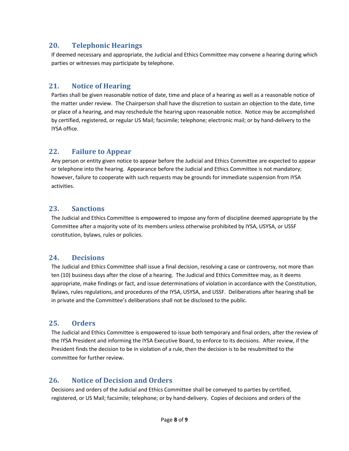#### <span id="page-7-0"></span>**20. Telephonic Hearings**

If deemed necessary and appropriate, the Judicial and Ethics Committee may convene a hearing during which parties or witnesses may participate by telephone.

#### <span id="page-7-1"></span>**21. Notice of Hearing**

Parties shall be given reasonable notice of date, time and place of a hearing as well as a reasonable notice of the matter under review. The Chairperson shall have the discretion to sustain an objection to the date, time or place of a hearing, and may reschedule the hearing upon reasonable notice. Notice may be accomplished by certified, registered, or regular US Mail; facsimile; telephone; electronic mail; or by hand-delivery to the IYSA office.

#### <span id="page-7-2"></span>**22. Failure to Appear**

Any person or entity given notice to appear before the Judicial and Ethics Committee are expected to appear or telephone into the hearing. Appearance before the Judicial and Ethics Committee is not mandatory; however, failure to cooperate with such requests may be grounds for immediate suspension from IYSA activities.

#### <span id="page-7-3"></span>**23. Sanctions**

The Judicial and Ethics Committee is empowered to impose any form of discipline deemed appropriate by the Committee after a majority vote of its members unless otherwise prohibited by IYSA, USYSA, or USSF constitution, bylaws, rules or policies.

# <span id="page-7-4"></span>**24. Decisions**

The Judicial and Ethics Committee shall issue a final decision, resolving a case or controversy, not more than ten (10) business days after the close of a hearing. The Judicial and Ethics Committee may, as it deems appropriate, make findings or fact, and issue determinations of violation in accordance with the Constitution, Bylaws, rules regulations, and procedures of the IYSA, USYSA, and USSF. Deliberations after hearing shall be in private and the Committee's deliberations shall not be disclosed to the public.

# <span id="page-7-5"></span>**25. Orders**

The Judicial and Ethics Committee is empowered to issue both temporary and final orders, after the review of the IYSA President and informing the IYSA Executive Board, to enforce to its decisions. After review, if the President finds the decision to be in violation of a rule, then the decision is to be resubmitted to the committee for further review.

# <span id="page-7-6"></span>**26. Notice of Decision and Orders**

Decisions and orders of the Judicial and Ethics Committee shall be conveyed to parties by certified, registered, or US Mail; facsimile; telephone; or by hand-delivery. Copies of decisions and orders of the